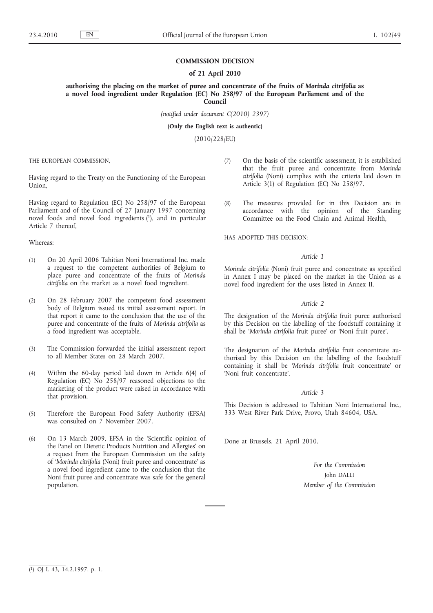## **COMMISSION DECISION**

### **of 21 April 2010**

**authorising the placing on the market of puree and concentrate of the fruits of** *Morinda citrifolia* **as a novel food ingredient under Regulation (EC) No 258/97 of the European Parliament and of the Council**

*(notified under document C(2010) 2397)*

**(Only the English text is authentic)**

(2010/228/EU)

THE EUROPEAN COMMISSION,

Having regard to the Treaty on the Functioning of the European Union,

Having regard to Regulation (EC) No 258/97 of the European Parliament and of the Council of 27 January 1997 concerning novel foods and novel food ingredients (1), and in particular Article 7 thereof,

## Whereas:

- (1) On 20 April 2006 Tahitian Noni International Inc. made a request to the competent authorities of Belgium to place puree and concentrate of the fruits of *Morinda citrifolia* on the market as a novel food ingredient.
- (2) On 28 February 2007 the competent food assessment body of Belgium issued its initial assessment report. In that report it came to the conclusion that the use of the puree and concentrate of the fruits of *Morinda citrifolia* as a food ingredient was acceptable.
- (3) The Commission forwarded the initial assessment report to all Member States on 28 March 2007.
- (4) Within the 60-day period laid down in Article 6(4) of Regulation (EC) No 258/97 reasoned objections to the marketing of the product were raised in accordance with that provision.
- (5) Therefore the European Food Safety Authority (EFSA) was consulted on 7 November 2007.
- (6) On 13 March 2009, EFSA in the 'Scientific opinion of the Panel on Dietetic Products Nutrition and Allergies' on a request from the European Commission on the safety of '*Morinda citrifolia* (Noni) fruit puree and concentrate' as a novel food ingredient came to the conclusion that the Noni fruit puree and concentrate was safe for the general population.
- (7) On the basis of the scientific assessment, it is established that the fruit puree and concentrate from *Morinda citrifolia* (Noni) complies with the criteria laid down in Article 3(1) of Regulation (EC) No 258/97.
- (8) The measures provided for in this Decision are in accordance with the opinion of the Standing Committee on the Food Chain and Animal Health,

HAS ADOPTED THIS DECISION:

#### *Article 1*

*Morinda citrifolia* (Noni) fruit puree and concentrate as specified in Annex I may be placed on the market in the Union as a novel food ingredient for the uses listed in Annex II.

#### *Article 2*

The designation of the *Morinda citrifolia* fruit puree authorised by this Decision on the labelling of the foodstuff containing it shall be '*Morinda citrifolia* fruit puree' or 'Noni fruit puree'.

The designation of the *Morinda citrifolia* fruit concentrate authorised by this Decision on the labelling of the foodstuff containing it shall be '*Morinda citrifolia* fruit concentrate' or 'Noni fruit concentrate'.

## *Article 3*

This Decision is addressed to Tahitian Noni International Inc., 333 West River Park Drive, Provo, Utah 84604, USA.

Done at Brussels, 21 April 2010.

*For the Commission* John DALLI *Member of the Commission*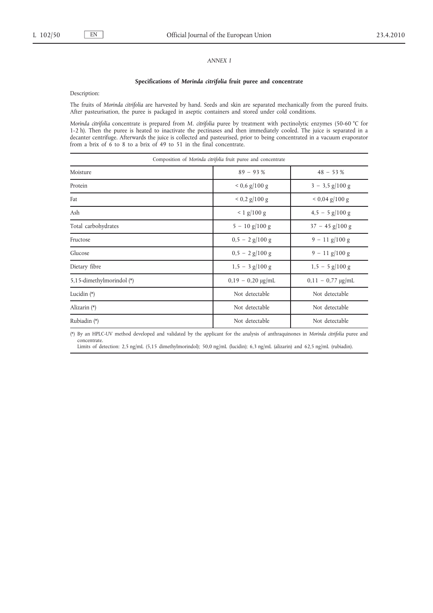## *ANNEX I*

#### **Specifications of** *Morinda citrifolia* **fruit puree and concentrate**

Description:

The fruits of *Morinda citrifolia* are harvested by hand. Seeds and skin are separated mechanically from the pureed fruits. After pasteurisation, the puree is packaged in aseptic containers and stored under cold conditions.

*Morinda citrifolia* concentrate is prepared from *M. citrifolia* puree by treatment with pectinolytic enzymes (50-60 °C for 1-2 h). Then the puree is heated to inactivate the pectinases and then immediately cooled. The juice is separated in a decanter centrifuge. Afterwards the juice is collected and pasteurised, prior to being concentrated in a vacuum evaporator from a brix of 6 to 8 to a brix of 49 to 51 in the final concentrate.

| Composition of Morinda citrifolia fruit puree and concentrate |                        |                             |  |
|---------------------------------------------------------------|------------------------|-----------------------------|--|
| Moisture                                                      | $89 - 93%$             | $48 - 53%$                  |  |
| Protein                                                       | $0.6 \frac{g}{100}$ g  | $3 - 3.5$ g/100 g           |  |
| Fat                                                           | $< 0.2$ g/100 g        | $< 0.04$ g/100 g            |  |
| Ash                                                           | $< 1$ g/100 g          | $4.5 - 5$ g/100 g           |  |
| Total carbohydrates                                           | $5 - 10$ g/100 g       | $37 - 45$ g/100 g           |  |
| Fructose                                                      | $0.5 - 2$ g/100 g      | $9 - 11$ g/100 g            |  |
| Glucose                                                       | $0.5 - 2$ g/100 g      | $9 - 11$ g/100 g            |  |
| Dietary fibre                                                 | $1,5 - 3$ g/100 g      | $1,5 - 5$ g/100 g           |  |
| 5,15-dimethylmorindol (*)                                     | $0,19 - 0,20 \mu g/mL$ | $0,11 - 0,77 \text{ µg/mL}$ |  |
| Lucidin (*)                                                   | Not detectable         | Not detectable              |  |
| Alizarin (*)                                                  | Not detectable         | Not detectable              |  |
| Rubiadin (*)                                                  | Not detectable         | Not detectable              |  |

(\*) By an HPLC-UV method developed and validated by the applicant for the analysis of anthraquinones in *Morinda citrifolia* puree and concentrate.

Limits of detection: 2,5 ng/mL (5,15 dimethylmorindol); 50,0 ng/mL (lucidin); 6,3 ng/mL (alizarin) and 62,5 ng/mL (rubiadin).